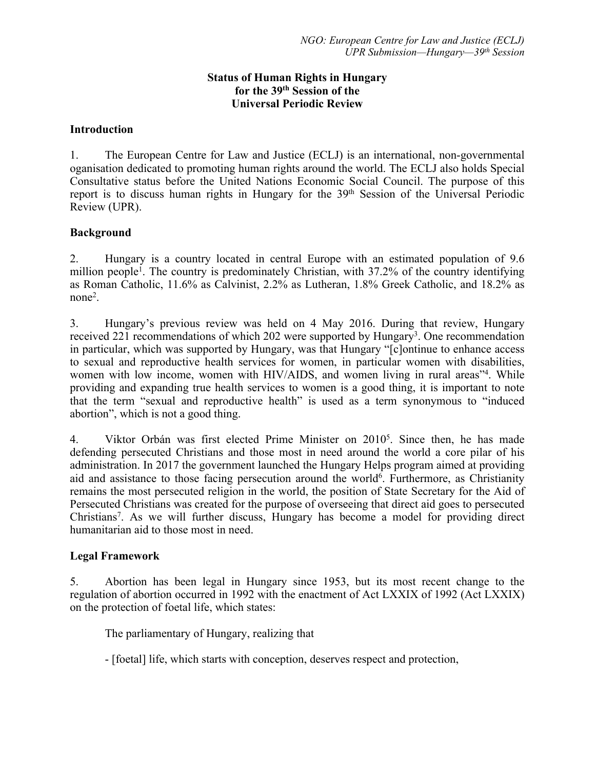### **Status of Human Rights in Hungary for the 39th Session of the Universal Periodic Review**

#### **Introduction**

1. The European Centre for Law and Justice (ECLJ) is an international, non-governmental oganisation dedicated to promoting human rights around the world. The ECLJ also holds Special Consultative status before the United Nations Economic Social Council. The purpose of this report is to discuss human rights in Hungary for the 39<sup>th</sup> Session of the Universal Periodic Review (UPR).

#### **Background**

2. Hungary is <sup>a</sup> country located in central Europe with an estimated population of 9.6 million people<sup>1</sup>. The country is predominately Christian, with 37.2% of the country identifying as Roman Catholic, 11.6% as Calvinist, 2.2% as Lutheran, 1.8% Greek Catholic, and 18.2% as none<sup>2</sup> .

3. Hungary'<sup>s</sup> previous review was held on 4 May 2016. During that review, Hungary received 221 recommendations of which 202 were supported by Hungary<sup>3</sup>. One recommendation in particular, which was supported by Hungary, was that Hungary "[c]ontinue to enhance access to sexual and reproductive health services for women, in particular women with disabilities, women with low income, women with HIV/AIDS, and women living in rural areas"<sup>4</sup>. While providing and expanding true health services to women is <sup>a</sup> good thing, it is important to note that the term "sexual and reproductive health" is used as <sup>a</sup> term synonymous to "induced abortion", which is not <sup>a</sup> good thing.

4. Viktor Orbán was first elected Prime Minister on 2010<sup>5</sup> . Since then, he has made defending persecuted Christians and those most in need around the world <sup>a</sup> core pilar of his administration. In 2017 the governmen<sup>t</sup> launched the Hungary Helps program aimed at providing aid and assistance to those facing persecution around the world<sup>6</sup>. Furthermore, as Christianity remains the most persecuted religion in the world, the position of State Secretary for the Aid of Persecuted Christians was created for the purpose of overseeing that direct aid goes to persecuted Christians 7 . As we will further discuss, Hungary has become <sup>a</sup> model for providing direct humanitarian aid to those most in need.

#### **Legal Framework**

5. Abortion has been legal in Hungary since 1953, but its most recent change to the regulation of abortion occurred in 1992 with the enactment of Act LXXIX of 1992 (Act LXXIX) on the protection of foetal life, which states:

The parliamentary of Hungary, realizing that

- [foetal] life, which starts with conception, deserves respec<sup>t</sup> and protection,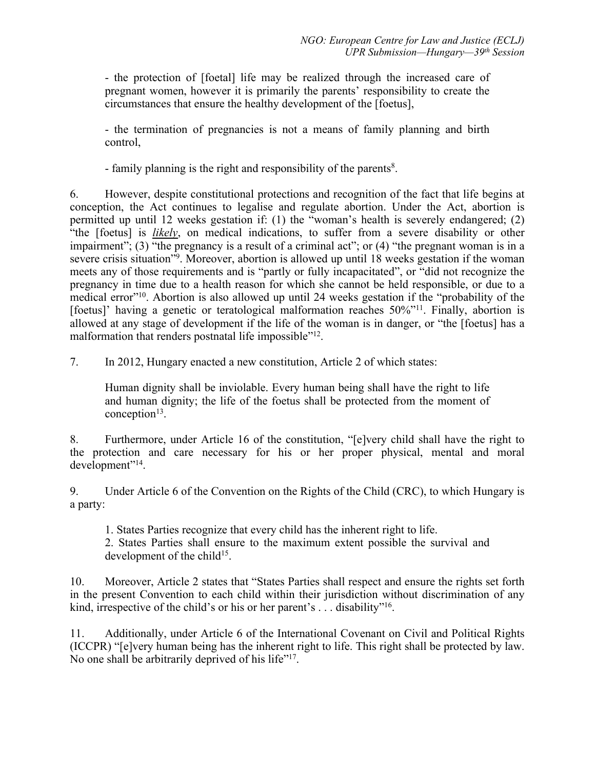- the protection of [foetal] life may be realized through the increased care of pregnan<sup>t</sup> women, however it is primarily the parents' responsibility to create the circumstances that ensure the healthy development of the [foetus],

- the termination of pregnancies is not <sup>a</sup> means of family planning and birth control,

- family planning is the right and responsibility of the parents 8 .

6. However, despite constitutional protections and recognition of the fact that life begins at conception, the Act continues to legalise and regulate abortion. Under the Act, abortion is permitted up until 12 weeks gestation if: (1) the "woman'<sup>s</sup> health is severely endangered; (2) "the [foetus] is *likely*, on medical indications, to suffer from <sup>a</sup> severe disability or other impairment"; (3) "the pregnancy is a result of a criminal act"; or (4) "the pregnant woman is in a severe crisis situation"<sup>9</sup> . Moreover, abortion is allowed up until 18 weeks gestation if the woman meets any of those requirements and is "partly or fully incapacitated", or "did not recognize the pregnancy in time due to <sup>a</sup> health reason for which she cannot be held responsible, or due to <sup>a</sup> medical error"<sup>10</sup>. Abortion is also allowed up until 24 weeks gestation if the "probability of the [foetus]' having a genetic or teratological malformation reaches 50%"<sup>11</sup>. Finally, abortion is allowed at any stage of development if the life of the woman is in danger, or "the [foetus] has <sup>a</sup> malformation that renders postnatal life impossible"<sup>12</sup>.

7. In 2012, Hungary enacted <sup>a</sup> new constitution, Article 2 of which states:

Human dignity shall be inviolable. Every human being shall have the right to life and human dignity; the life of the foetus shall be protected from the moment of conception<sup>13</sup>.

8. Furthermore, under Article 16 of the constitution, "[e]very child shall have the right to the protection and care necessary for his or her proper physical, mental and moral development"<sup>14</sup> .

9. Under Article 6 of the Convention on the Rights of the Child (CRC), to which Hungary is <sup>a</sup> party:

1. States Parties recognize that every child has the inherent right to life.

2. States Parties shall ensure to the maximum extent possible the survival and development of the child<sup>15</sup>.

10. Moreover, Article 2 states that "States Parties shall respec<sup>t</sup> and ensure the rights set forth in the presen<sup>t</sup> Convention to each child within their jurisdiction without discrimination of any kind, irrespective of the child's or his or her parent's . . . disability"<sup>16</sup>.

11. Additionally, under Article 6 of the International Covenant on Civil and Political Rights (ICCPR) "[e]very human being has the inherent right to life. This right shall be protected by law. No one shall be arbitrarily deprived of his life"<sup>17</sup>.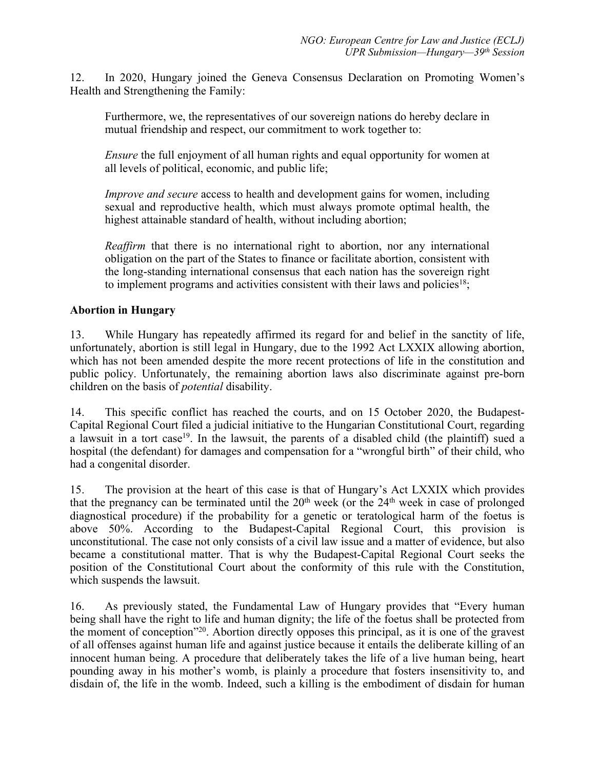12. In 2020, Hungary joined the Geneva Consensus Declaration on Promoting Women'<sup>s</sup> Health and Strengthening the Family:

Furthermore, we, the representatives of our sovereign nations do hereby declare in mutual friendship and respect, our commitment to work together to:

*Ensure* the full enjoyment of all human rights and equal opportunity for women at all levels of political, economic, and public life;

*Improve and secure* access to health and development gains for women, including sexual and reproductive health, which must always promote optimal health, the highest attainable standard of health, without including abortion;

*Reaffirm* that there is no international right to abortion, nor any international obligation on the par<sup>t</sup> of the States to finance or facilitate abortion, consistent with the long-standing international consensus that each nation has the sovereign right to implement programs and activities consistent with their laws and policies<sup>18</sup>;

## **Abortion in Hungary**

13. While Hungary has repeatedly affirmed its regard for and belief in the sanctity of life, unfortunately, abortion is still legal in Hungary, due to the 1992 Act LXXIX allowing abortion, which has not been amended despite the more recent protections of life in the constitution and public policy. Unfortunately, the remaining abortion laws also discriminate against pre-born children on the basis of *potential* disability.

14. This specific conflict has reached the courts, and on 15 October 2020, the Budapest-Capital Regional Court filed <sup>a</sup> judicial initiative to the Hungarian Constitutional Court, regarding a lawsuit in a tort case<sup>19</sup>. In the lawsuit, the parents of a disabled child (the plaintiff) sued a hospital (the defendant) for damages and compensation for <sup>a</sup> "wrongful birth" of their child, who had <sup>a</sup> congenital disorder.

15. The provision at the heart of this case is that of Hungary'<sup>s</sup> Act LXXIX which provides that the pregnancy can be terminated until the  $20<sup>th</sup>$  week (or the  $24<sup>th</sup>$  week in case of prolonged diagnostical procedure) if the probability for <sup>a</sup> genetic or teratological harm of the foetus is above 50%. According to the Budapest-Capital Regional Court, this provision is unconstitutional. The case not only consists of <sup>a</sup> civil law issue and <sup>a</sup> matter of evidence, but also became <sup>a</sup> constitutional matter. That is why the Budapest-Capital Regional Court seeks the position of the Constitutional Court about the conformity of this rule with the Constitution, which suspends the lawsuit.

16. As previously stated, the Fundamental Law of Hungary provides that "Every human being shall have the right to life and human dignity; the life of the foetus shall be protected from the moment of conception"<sup>20</sup> . Abortion directly opposes this principal, as it is one of the graves<sup>t</sup> of all offenses against human life and against justice because it entails the deliberate killing of an innocent human being. A procedure that deliberately takes the life of <sup>a</sup> live human being, heart pounding away in his mother'<sup>s</sup> womb, is plainly <sup>a</sup> procedure that fosters insensitivity to, and disdain of, the life in the womb. Indeed, such <sup>a</sup> killing is the embodiment of disdain for human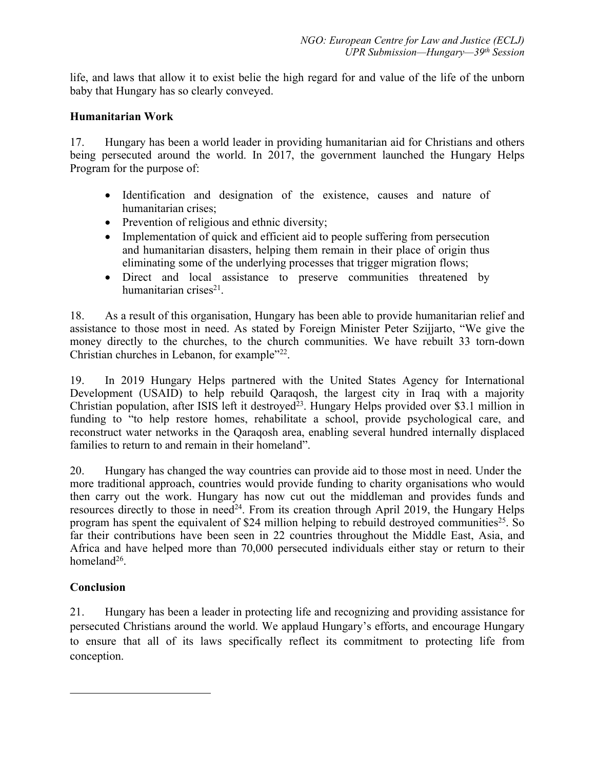life, and laws that allow it to exist belie the high regard for and value of the life of the unborn baby that Hungary has so clearly conveyed.

## **Humanitarian Work**

17. Hungary has been <sup>a</sup> world leader in providing humanitarian aid for Christians and others being persecuted around the world. In 2017, the governmen<sup>t</sup> launched the Hungary Helps Program for the purpose of:

- Identification and designation of the existence, causes and nature of humanitarian crises;
- Prevention of religious and ethnic diversity;
- Implementation of quick and efficient aid to people suffering from persecution and humanitarian disasters, helping them remain in their place of origin thus eliminating some of the underlying processes that trigger migration flows;
- Direct and local assistance to preserve communities threatened by humanitarian crises 21 .

18. As <sup>a</sup> result of this organisation, Hungary has been able to provide humanitarian relief and assistance to those most in need. As stated by Foreign Minister Peter Szijjarto, "We give the money directly to the churches, to the church communities. We have rebuilt 33 torn-down Christian churches in Lebanon, for example"<sup>22</sup>.

19. In 2019 Hungary Helps partnered with the United States Agency for International Development (USAID) to help rebuild Qaraqosh, the largest city in Iraq with <sup>a</sup> majority Christian population, after ISIS left it destroyed<sup>23</sup>. Hungary Helps provided over \$3.1 million in funding to "to help restore homes, rehabilitate <sup>a</sup> school, provide psychological care, and reconstruct water networks in the Qaraqosh area, enabling several hundred internally displaced families to return to and remain in their homeland".

20. Hungary has changed the way countries can provide aid to those most in need. Under the more traditional approach, countries would provide funding to charity organisations who would then carry out the work. Hungary has now cut out the middleman and provides funds and resources directly to those in need<sup>24</sup>. From its creation through April 2019, the Hungary Helps program has spent the equivalent of \$24 million helping to rebuild destroyed communities<sup>25</sup>. So far their contributions have been seen in 22 countries throughout the Middle East, Asia, and Africa and have helped more than 70,000 persecuted individuals either stay or return to their homeland<sup>26</sup>.

# **Conclusion**

21. Hungary has been <sup>a</sup> leader in protecting life and recognizing and providing assistance for persecuted Christians around the world. We applaud Hungary'<sup>s</sup> efforts, and encourage Hungary to ensure that all of its laws specifically reflect its commitment to protecting life from conception.